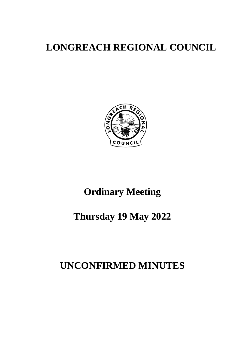# **LONGREACH REGIONAL COUNCIL**



# **Ordinary Meeting**

# **Thursday 19 May 2022**

# **UNCONFIRMED MINUTES**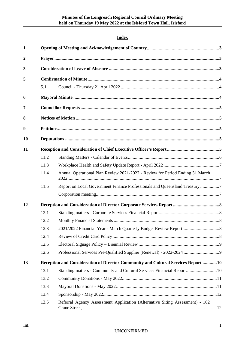# **Index**

| $\mathbf{1}$     |      |                                                                                   |  |  |
|------------------|------|-----------------------------------------------------------------------------------|--|--|
| $\boldsymbol{2}$ |      |                                                                                   |  |  |
| 3                |      |                                                                                   |  |  |
| 5                |      |                                                                                   |  |  |
|                  | 5.1  |                                                                                   |  |  |
| 6                |      |                                                                                   |  |  |
| 7                |      |                                                                                   |  |  |
| 8                |      |                                                                                   |  |  |
| 9                |      |                                                                                   |  |  |
| 10               |      |                                                                                   |  |  |
| 11               |      |                                                                                   |  |  |
|                  | 11.2 |                                                                                   |  |  |
|                  | 11.3 |                                                                                   |  |  |
|                  | 11.4 | Annual Operational Plan Review 2021-2022 - Review for Period Ending 31 March      |  |  |
|                  | 11.5 | Report on Local Government Finance Professionals and Queensland Treasury 7        |  |  |
|                  |      |                                                                                   |  |  |
| 12               |      |                                                                                   |  |  |
|                  | 12.1 |                                                                                   |  |  |
|                  | 12.2 |                                                                                   |  |  |
|                  | 12.3 |                                                                                   |  |  |
|                  | 12.4 |                                                                                   |  |  |
|                  | 12.5 |                                                                                   |  |  |
|                  | 12.6 | Professional Services Pre-Qualified Supplier (Renewal) - 2022-2024 9              |  |  |
| 13               |      | Reception and Consideration of Director Community and Cultural Services Report 10 |  |  |
|                  | 13.1 | Standing matters - Community and Cultural Services Financial Report10             |  |  |
|                  | 13.2 |                                                                                   |  |  |
|                  | 13.3 |                                                                                   |  |  |
|                  | 13.4 |                                                                                   |  |  |
|                  | 13.5 | Referral Agency Assessment Application (Alternative Siting Assessment) - 162      |  |  |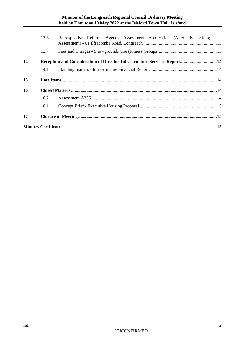|    | 13.6 | Retrospective Referral Agency Assessment Application (Alternative Siting |  |  |  |
|----|------|--------------------------------------------------------------------------|--|--|--|
|    | 13.7 |                                                                          |  |  |  |
| 14 |      | Reception and Consideration of Director Infrastructure Services Report14 |  |  |  |
|    | 14.1 |                                                                          |  |  |  |
| 15 |      |                                                                          |  |  |  |
| 16 |      |                                                                          |  |  |  |
|    | 16.2 |                                                                          |  |  |  |
|    | 16.1 |                                                                          |  |  |  |
| 17 |      |                                                                          |  |  |  |
|    |      |                                                                          |  |  |  |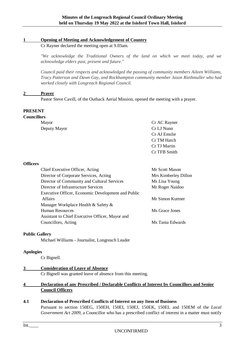#### <span id="page-3-0"></span>**1 Opening of Meeting and Acknowledgement of Country**

Cr Rayner declared the meeting open at 9.03am.

*"We acknowledge the Traditional Owners of the land on which we meet today, and we acknowledge elders past, present and future."*

*Council paid their respects and acknowledged the passing of community members Aileen Williams, Tracy Patterson and Dawn Gay, and Rockhampton community member Jason Riethmuller who had worked closely with Longreach Regional Council.*

#### <span id="page-3-1"></span>**2 Prayer**

Pastor Steve Cavill, of the Outback Aerial Mission, opened the meeting with a prayer.

#### **PRESENT**

| <b>Councillors</b> |              |  |
|--------------------|--------------|--|
| Mayor              | Cr AC Rayner |  |
| Deputy Mayor       | Cr LJ Nunn   |  |
|                    | Cr AJ Emslie |  |
|                    | Cr TM Hatch  |  |
|                    | Cr TJ Martin |  |
|                    | Cr TFB Smith |  |

#### **Officers**

| Chief Executive Officer, Acting                    | Mr Scott Mason       |
|----------------------------------------------------|----------------------|
| Director of Corporate Services, Acting             | Mrs Kimberley Dillon |
| Director of Community and Cultural Services        | Ms Lisa Young        |
| Director of Infrastructure Services                | Mr Roger Naidoo      |
| Executive Officer, Economic Development and Public |                      |
| <b>Affairs</b>                                     | Mr Simon Kuttner     |
| Manager Workplace Health & Safety &                |                      |
| <b>Human Resources</b>                             | Ms Grace Jones       |
| Assistant to Chief Executive Officer, Mayor and    |                      |
| Councillors, Acting                                | Ms Tania Edwards     |
|                                                    |                      |

#### **Public Gallery**

Michael Williams - Journalist, Longreach Leader

#### **Apologies**

Cr Bignell.

#### <span id="page-3-2"></span>**3 Consideration of Leave of Absence**

Cr Bignell was granted leave of absence from this meeting.

#### **4 Declaration of any Prescribed / Declarable Conflicts of Interest by Councillors and Senior Council Officers**

**4.1 Declaration of Prescribed Conflicts of Interest on any Item of Business**

Pursuant to section 150EG, 150EH, 150EI, 150EJ, 150EK, 150EL and 150EM of the *Local Government Act 2009,* a Councillor who has a prescribed conflict of interest in a matter must notify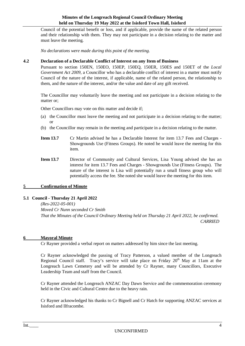Council of the potential benefit or loss, and if applicable, provide the name of the related person and their relationship with them. They may not participate in a decision relating to the matter and must leave the meeting.

*No declarations were made during this point of the meeting.*

#### **4.2 Declaration of a Declarable Conflict of Interest on any Item of Business**

Pursuant to section 150EN, 150EO, 150EP, 150EQ, 150ER, 150ES and 150ET of the *Local Government Act 2009,* a Councillor who has a declarable conflict of interest in a matter must notify Council of the nature of the interest, if applicable, name of the related person, the relationship to them, and the nature of the interest, and/or the value and date of any gift received.

The Councillor may voluntarily leave the meeting and not participate in a decision relating to the matter or;

Other Councillors may vote on this matter and decide if;

- (a) the Councillor must leave the meeting and not participate in a decision relating to the matter; or
- (b) the Councillor may remain in the meeting and participate in a decision relating to the matter.
- **Item 13.7** Cr Martin advised he has a Declarable Interest for item 13.7 Fees and Charges -Showgrounds Use (Fitness Groups). He noted he would leave the meeting for this item.
- **Item 13.7** Director of Community and Cultural Services, Lisa Young advised she has an interest for item 13.7 Fees and Charges - Showgrounds Use (Fitness Groups). The nature of the interest is Lisa will potentially run a small fitness group who will potentially access the fee. She noted she would leave the meeting for this item.

#### <span id="page-4-0"></span>**5 Confirmation of Minute**

#### <span id="page-4-1"></span>**5.1 Council - Thursday 21 April 2022**

*(Res-2022-05-001) Moved Cr Nunn seconded Cr Smith That the Minutes of the Council Ordinary Meeting held on Thursday 21 April 2022, be confirmed. CARRIED*

#### <span id="page-4-2"></span>**6 Mayoral Minute**

Cr Rayner provided a verbal report on matters addressed by him since the last meeting.

Cr Rayner acknowledged the passing of Tracy Patterson, a valued member of the Longreach Regional Council staff. Tracy's service will take place on Friday  $20<sup>th</sup>$  May at 11am at the Longreach Lawn Cemetery and will be attended by Cr Rayner, many Councillors, Executive Leadership Team and staff from the Council.

Cr Rayner attended the Longreach ANZAC Day Dawn Service and the commemoration ceremony held in the Civic and Cultural Centre due to the heavy rain.

Cr Rayner acknowledged his thanks to Cr Bignell and Cr Hatch for supporting ANZAC services at Isisford and Ilfracombe.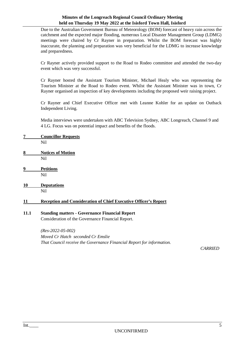Due to the Australian Government Bureau of Meteorology (BOM) forecast of heavy rain across the catchment and the expected major flooding, numerous Local Disaster Management Group (LDMG) meetings were chaired by Cr Rayner in preparation. Whilst the BOM forecast was highly inaccurate, the planning and preparation was very beneficial for the LDMG to increase knowledge and preparedness.

Cr Rayner actively provided support to the Road to Rodeo committee and attended the two-day event which was very successful.

Cr Rayner hosted the Assistant Tourism Minister, Michael Healy who was representing the Tourism Minister at the Road to Rodeo event. Whilst the Assistant Minister was in town, Cr Rayner organised an inspection of key developments including the proposed weir raising project.

Cr Rayner and Chief Executive Officer met with Leanne Kohler for an update on Outback Independent Living.

Media interviews were undertaken with ABC Television Sydney, ABC Longreach, Channel 9 and 4 LG. Focus was on potential impact and benefits of the floods.

- <span id="page-5-0"></span>**7 Councillor Requests**
	- Nil
- <span id="page-5-1"></span>**8 Notices of Motion** Nil
- <span id="page-5-2"></span>**9 Petitions** Nil
- <span id="page-5-3"></span>**10 Deputations** Nil

## <span id="page-5-4"></span>**11 Reception and Consideration of Chief Executive Officer's Report**

#### **11.1 Standing matters - Governance Financial Report**

Consideration of the Governance Financial Report.

*(Res-2022-05-002) Moved Cr Hatch seconded Cr Emslie That Council receive the Governance Financial Report for information.*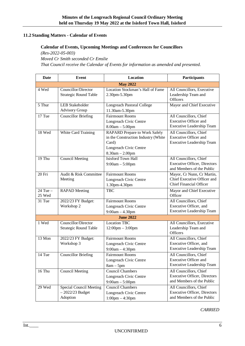## <span id="page-6-0"></span>**11.2 Standing Matters - Calendar of Events**

#### **Calendar of Events, Upcoming Meetings and Conferences for Councillors**

*(Res-2022-05-003)* 

*Moved Cr Smith seconded Cr Emslie*

*That Council receive the Calendar of Events for information as amended and presented.*

| <b>Date</b>            | <b>Event</b>                                             | Location                                                                                                                            | Participants                                                                                |  |
|------------------------|----------------------------------------------------------|-------------------------------------------------------------------------------------------------------------------------------------|---------------------------------------------------------------------------------------------|--|
| <b>May 2022</b>        |                                                          |                                                                                                                                     |                                                                                             |  |
| 4 Wed                  | Councillor/Director<br><b>Strategic Round Table</b>      | Location Stockman's Hall of Fame<br>2.30pm-5.30pm                                                                                   | All Councillors, Executive<br>Leadership Team and<br>Officers                               |  |
| 5 Thur                 | <b>LEB Stakeholder</b><br><b>Advisory Group</b>          | <b>Longreach Pastoral College</b><br>11.30am-5.30pm                                                                                 | Mayor and Chief Executive                                                                   |  |
| $17$ Tue               | <b>Councillor Briefing</b>                               | <b>Fairmount Rooms</b><br>Longreach Civic Centre<br>$8.00am - 5.00pm$                                                               | All Councillors, Chief<br><b>Executive Officer and</b><br><b>Executive Leadership Team</b>  |  |
| 18 Wed                 | White Card Training                                      | <b>RAPARD Prepare to Work Safely</b><br>in the Construction Industry (White<br>Card)<br>Longreach Civic Centre<br>$8.30am - 2.00pm$ | All Councillors, Chief<br><b>Executive Officer and</b><br><b>Executive Leadership Team</b>  |  |
| 19 Thu                 | <b>Council Meeting</b>                                   | <b>Isisford Town Hall</b><br>$9:00am - 5:00pm$                                                                                      | All Councillors, Chief<br><b>Executive Officer</b> , Directors<br>and Members of the Public |  |
| 20 Fri                 | Audit & Risk Committee<br>Meeting                        | <b>Fairmount Rooms</b><br>Longreach Civic Centre<br>1.30pm-4.30pm                                                                   | Mayor, Cr Nunn, Cr Martin,<br>Chief Executive Officer and<br><b>Chief Financial Officer</b> |  |
| $24$ Tue $-$<br>25 Wed | <b>RAPAD</b> Meeting                                     | <b>TBC</b>                                                                                                                          | Mayor and Chief Executive<br>Officer                                                        |  |
| 31 Tue                 | 2022/23 FY Budget:<br>Workshop 2                         | <b>Fairmount Rooms</b><br>Longreach Civic Centre<br>$9:00am - 4.30pm$                                                               | All Councillors, Chief<br>Executive Officer, and<br>Executive Leadership Team               |  |
| <b>June 2022</b>       |                                                          |                                                                                                                                     |                                                                                             |  |
| 1 Wed                  | Councillor/Director<br><b>Strategic Round Table</b>      | <b>Location TBC</b><br>$12:00 \text{pm} - 3:00 \text{pm}$                                                                           | All Councillors, Executive<br>Leadership Team and<br>Officers                               |  |
| 13 Mon                 | 2022/23 FY Budget:<br>Workshop 3                         | <b>Fairmount Rooms</b><br>Longreach Civic Centre<br>$9:00am - 4:30pm$                                                               | All Councillors, Chief<br>Executive Officer, and<br><b>Executive Leadership Team</b>        |  |
| 14 Tue                 | <b>Councillor Briefing</b>                               | <b>Fairmount Rooms</b><br>Longreach Civic Centre<br>$8am - 5pm$                                                                     | All Councillors, Chief<br><b>Executive Officer and</b><br><b>Executive Leadership Team</b>  |  |
| 16 Thu                 | <b>Council Meeting</b>                                   | <b>Council Chambers</b><br>Longreach Civic Centre<br>$9:00am - 5:00pm$                                                              | All Councillors, Chief<br><b>Executive Officer, Directors</b><br>and Members of the Public  |  |
| 29 Wed                 | Special Council Meeting<br>$-2022/23$ Budget<br>Adoption | <b>Council Chambers</b><br>Longreach Civic Centre<br>$1:00 \text{pm} - 4:30 \text{pm}$                                              | All Councillors, Chief<br><b>Executive Officer, Directors</b><br>and Members of the Public  |  |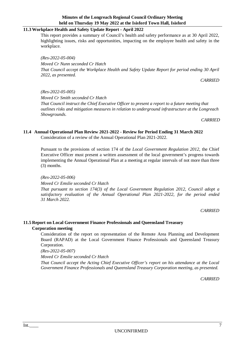# <span id="page-7-0"></span>**11.3 Workplace Health and Safety Update Report - April 2022**

This report provides a summary of Council's health and safety performance as at 30 April 2022, highlighting issues, risks and opportunities, impacting on the employee health and safety in the workplace.

*(Res-2022-05-004) Moved Cr Nunn seconded Cr Hatch That Council accept the Workplace Health and Safety Update Report for period ending 30 April 2022, as presented.*

*CARRIED*

*(Res-2022-05-005) Moved Cr Smith seconded Cr Hatch That Council instruct the Chief Executive Officer to present a report to a future meeting that outlines risks and mitigation measures in relation to underground infrastructure at the Longreach Showgrounds.* 

*CARRIED*

# <span id="page-7-1"></span>**11.4 Annual Operational Plan Review 2021-2022 - Review for Period Ending 31 March 2022**

Consideration of a review of the Annual Operational Plan 2021-2022.

Pursuant to the provisions of section 174 of the *Local Government Regulation 2012,* the Chief Executive Officer must present a written assessment of the local government's progress towards implementing the Annual Operational Plan at a meeting at regular intervals of not more than three (3) months.

*(Res-2022-05-006) Moved Cr Emslie seconded Cr Hatch That pursuant to section 174(3) of the Local Government Regulation 2012, Council adopt a satisfactory evaluation of the Annual Operational Plan 2021-2022, for the period ended 31 March 2022.*

*CARRIED*

# <span id="page-7-2"></span>**11.5 Report on Local Government Finance Professionals and Queensland Treasury**

# <span id="page-7-3"></span>**Corporation meeting**

Consideration of the report on representation of the Remote Area Planning and Development Board (RAPAD) at the Local Government Finance Professionals and Queensland Treasury Corporation.

*(Res-2022-05-007)* 

*Moved Cr Emslie seconded Cr Hatch* 

*That Council accept the Acting Chief Executive Officer's report on his attendance at the Local Government Finance Professionals and Queensland Treasury Corporation meeting, as presented.*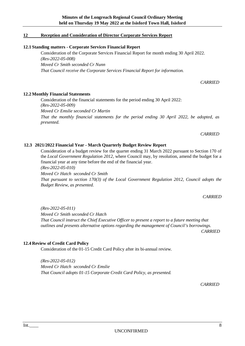# <span id="page-8-0"></span>**12 Reception and Consideration of Director Corporate Services Report**

# <span id="page-8-1"></span>**12.1 Standing matters - Corporate Services Financial Report**

Consideration of the Corporate Services Financial Report for month ending 30 April 2022. *(Res-2022-05-008) Moved Cr Smith seconded Cr Nunn That Council receive the Corporate Services Financial Report for information.*

*CARRIED*

# <span id="page-8-2"></span>**12.2 Monthly Financial Statements**

Consideration of the financial statements for the period ending 30 April 2022: *(Res-2022-05-009) Moved Cr Emslie seconded Cr Martin That the monthly financial statements for the period ending 30 April 2022, be adopted, as presented.*

#### *CARRIED*

## <span id="page-8-3"></span>**12.3 2021/2022 Financial Year - March Quarterly Budget Review Report**

Consideration of a budget review for the quarter ending 31 March 2022 pursuant to Section 170 of the *Local Government Regulation 2012,* where Council may, by resolution, amend the budget for a financial year at any time before the end of the financial year. *(Res-2022-05-010)* 

*Moved Cr Hatch seconded Cr Smith*

*That pursuant to section 170(3) of the Local Government Regulation 2012, Council adopts the Budget Review, as presented.*

*CARRIED*

*(Res-2022-05-011) Moved Cr Smith seconded Cr Hatch That Council instruct the Chief Executive Officer to present a report to a future meeting that outlines and presents alternative options regarding the management of Council's borrowings.*

*CARRIED*

#### <span id="page-8-4"></span>**12.4 Review of Credit Card Policy**

Consideration of the 01-15 Credit Card Policy after its bi-annual review.

*(Res-2022-05-012) Moved Cr Hatch seconded Cr Emslie That Council adopts 01-15 Corporate Credit Card Policy, as presented.*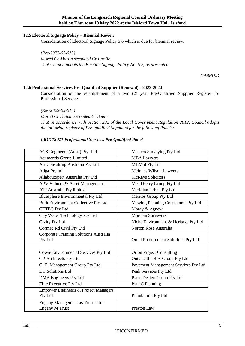#### <span id="page-9-0"></span>**12.5 Electoral Signage Policy – Biennial Review**

Consideration of Electoral Signage Policy 5.6 which is due for biennial review.

*(Res-2022-05-013) Moved Cr Martin seconded Cr Emslie That Council adopts the Election Signage Policy No. 5.2, as presented.*

*CARRIED*

#### <span id="page-9-1"></span>**12.6 Professional Services Pre-Qualified Supplier (Renewal) - 2022-2024**

Consideration of the establishment of a two (2) year Pre-Qualified Supplier Register for Professional Services.

*(Res-2022-05-014) Moved Cr Hatch seconded Cr Smith That in accordance with Section 232 of the Local Government Regulation 2012, Council adopts the following register of Pre-qualified Suppliers for the following Panels:-*

#### *LRC112021 Professional Services Pre-Qualified Panel*

| ACS Engineers (Aust.) Pty. Ltd.                           | Masters Surveying Pty Ltd            |
|-----------------------------------------------------------|--------------------------------------|
| Acumentis Group Limited                                   | <b>MBA Lawyers</b>                   |
| Air Consulting Australia Pty Ltd                          | <b>MBMpl Pty Ltd</b>                 |
| Aliga Pty ltd                                             | McInnes Wilson Lawyers               |
| Allaboutxpert Australia Pty Ltd                           | <b>McKays Solicitors</b>             |
| APV Valuers & Asset Management                            | Mead Perry Group Pty Ltd             |
| ATI Australia Pty limited                                 | Meridian Urban Pty Ltd               |
| <b>Bluesphere Environmental Pty Ltd</b>                   | Meritos Group Pty Ltd                |
| Built Environment Collective Pty Ltd                      | Mewing Planning Consultants Pty Ltd  |
| <b>CETEC Pty Ltd</b>                                      | Moray & Agnew                        |
| City Water Technology Pty Ltd                             | <b>Morcom Surveyors</b>              |
| Civity Pty Ltd                                            | Niche Environment & Heritage Pty Ltd |
| Cormac Rd Civil Pty Ltd                                   | Norton Rose Australia                |
| <b>Corporate Training Solutions Australia</b><br>Pty Ltd  | Omni Procurement Solutions Pty Ltd   |
| Cowie Environmental Services Pty Ltd                      | <b>Orion Project Consulting</b>      |
| <b>CP-Architects Pty Ltd</b>                              | Outside the Box Group Pty Ltd        |
| C. T. Management Group Pty Ltd                            | Pavement Management Services Pty Ltd |
| <b>DC</b> Solutions Ltd                                   | Peak Services Pty Ltd                |
| <b>DMA</b> Engineers Pty Ltd                              | Place Design Group Pty Ltd           |
| Elite Executive Pty Ltd                                   | Plan C Planning                      |
| Empower Engineers & Project Managers<br>Pty Ltd           | Plumbbuild Pty Ltd                   |
| Engeny Management as Trustee for<br><b>Engeny M Trust</b> | Preston Law                          |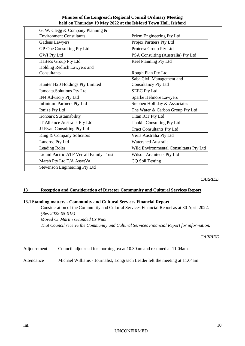| Minutes of the Longreach Regional Council Ordinary Meeting       |
|------------------------------------------------------------------|
| held on Thursday 19 May 2022 at the Isisford Town Hall, Isisford |

| G. W. Clegg & Company Planning &        |                                        |
|-----------------------------------------|----------------------------------------|
| <b>Environment Consultants</b>          | Prizm Engineering Pty Ltd              |
| <b>Gadens Lawyers</b>                   | Projex Partners Pty Ltd                |
| GP One Consulting Pty Ltd               | Proterra Group Pty Ltd                 |
| <b>GWI Pty Ltd</b>                      | PSA Consulting (Australia) Pty Ltd     |
| Hartecs Group Pty Ltd                   | Reel Planning Pty Ltd                  |
| Holding Redlich Lawyers and             |                                        |
| Consultants                             | Rough Plan Pty Ltd                     |
|                                         | Saba Civil Management and              |
| Hunter H20 Holdings Pty Limited         | Consultancy Pty Ltd                    |
| Iamdata.Solutions Pty Ltd               | <b>SEEC Pty Ltd</b>                    |
| <b>IN4 Advisory Pty Ltd</b>             | <b>Sparke Helmore Lawyers</b>          |
| <b>Infinitum Partners Pty Ltd</b>       | Stephen Holliday & Associates          |
| Ionize Pty Ltd                          | The Water & Carbon Group Pty Ltd       |
| Ironbark Sustainability                 | Titan ICT Pty Ltd                      |
| IT Alliance Australia Pty Ltd           | Tonkin Consulting Pty Ltd              |
| JJ Ryan Consulting Pty Ltd              | <b>Tract Consultants Pty Ltd</b>       |
| King & Company Solicitors               | Veris Australia Pty Ltd                |
| Landroc Pty Ltd                         | <b>Watershed Australia</b>             |
| <b>Leading Roles</b>                    | Wild Environmental Consultants Pty Ltd |
| Liquid Pacific ATF Verrall Family Trust | Wilson Architects Pty Ltd              |
| Marsh Pty Ltd T/A AssetVal              | CQ Soil Testing                        |
| Stevenson Engineering Pty Ltd           |                                        |

*CARRIED*

#### <span id="page-10-0"></span>**13 Reception and Consideration of Director Community and Cultural Services Report**

#### <span id="page-10-1"></span>**13.1 Standing matters - Community and Cultural Services Financial Report**

Consideration of the Community and Cultural Services Financial Report as at 30 April 2022. *(Res-2022-05-015) Moved Cr Martin seconded Cr Nunn That Council receive the Community and Cultural Services Financial Report for information.*

*CARRIED*

Adjournment: Council adjourned for morning tea at 10.30am and resumed at 11.04am.

Attendance Michael Williams - Journalist, Longreach Leader left the meeting at 11.04am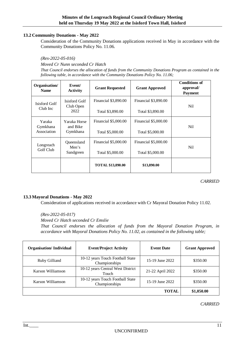#### <span id="page-11-0"></span>**13.2 Community Donations - May 2022**

Consideration of the Community Donations applications received in May in accordance with the Community Donations Policy No. 11.06.

*(Res-2022-05-016)* 

*Moved Cr Nunn seconded Cr Hatch* 

*That Council endorses the allocation of funds from the Community Donations Program as contained in the following table, in accordance with the Community Donations Policy No. 11.06;*

| Organisation/<br><b>Name</b>      | Event/<br><b>Activity</b>            | <b>Grant Requested</b>                          | <b>Grant Approved</b>                           | <b>Conditions of</b><br>approval/<br><b>Payment</b> |
|-----------------------------------|--------------------------------------|-------------------------------------------------|-------------------------------------------------|-----------------------------------------------------|
| Isisford Golf<br>Club Inc         | Isisford Golf<br>Club Open<br>2022   | Financial \$3,890.00<br>Total \$3,890.00        | Financial \$3,890.00<br>Total \$3,890.00        | Nil                                                 |
| Yaraka<br>Gymkhana<br>Association | Yaraka Horse<br>and Bike<br>Gymkhana | <b>Financial \$5,000.00</b><br>Total \$5,000.00 | <b>Financial \$5,000.00</b><br>Total \$5,000.00 | Nil                                                 |
| Longreach<br>Golf Club            | Oueensland<br>Men's<br>Sandgreen     | <b>Financial \$5,000.00</b><br>Total \$5,000.00 | <b>Financial \$5,000.00</b><br>Total \$5,000.00 | Nil                                                 |
|                                   |                                      | <b>TOTAL \$13,890.00</b>                        | \$13,890.00                                     |                                                     |

*CARRIED*

#### <span id="page-11-1"></span>**13.3 Mayoral Donations - May 2022**

Consideration of applications received in accordance with Cr Mayoral Donation Policy 11.02.

*(Res-2022-05-017) Moved Cr Hatch seconded Cr Emslie That Council endorses the allocation of funds from the Mayoral Donation Program, in accordance with Mayoral Donations Policy No. 11.02, as contained in the following table;*

| <b>Organisation/Individual</b> | <b>Event/Project Activity</b>                     | <b>Event Date</b> | <b>Grant Approved</b> |
|--------------------------------|---------------------------------------------------|-------------------|-----------------------|
| Ruby Gilliand                  | 10-12 years Touch Football State<br>Championships | 15-19 June 2022   | \$350.00              |
| Karson Williamson              | 10-12 years Central West District<br>Touch        | 21-22 April 2022  | \$350.00              |
| Karson Williamson              | 10-12 years Touch Football State<br>Championships | 15-19 June 2022   | \$350.00              |
|                                |                                                   | <b>TOTAL</b>      | \$1,050.00            |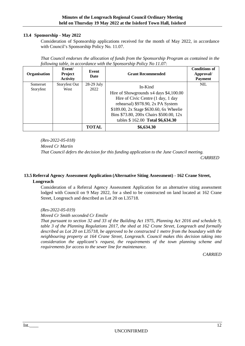#### <span id="page-12-0"></span>**13.4 Sponsorship - May 2022**

Consideration of Sponsorship applications received for the month of May 2022, in accordance with Council's Sponsorship Policy No. 11.07.

*That Council endorses the allocation of funds from the Sponsorship Program as contained in the following table, in accordance with the Sponsorship Policy No 11.07:*

| Organisation          | Event/<br><b>Project</b><br><b>Activity</b> | Event<br>Date        | <b>Grant Recommended</b>                                                                                                                                                                                                                               | <b>Conditions of</b><br>Approval/<br><b>Payment</b> |
|-----------------------|---------------------------------------------|----------------------|--------------------------------------------------------------------------------------------------------------------------------------------------------------------------------------------------------------------------------------------------------|-----------------------------------------------------|
| Somerset<br>Storyfest | Storyfest Out<br>West                       | $28-29$ July<br>2022 | In-Kind<br>Hire of Showgrounds x4 days \$4,100.00<br>Hire of Civic Centre (1 day, 1 day<br>rehearsal) \$978.90, 2x PA System<br>\$189.00, 2x Stage \$630.60, 6x Wheelie<br>Bins \$73.80, 200x Chairs \$500.00, 12x<br>tables \$162.00 Total \$6,634.30 | <b>NIL</b>                                          |
|                       |                                             | <b>TOTAL</b>         | \$6,634.30                                                                                                                                                                                                                                             |                                                     |

*(Res-2022-05-018)* 

*Moved Cr Martin*

*That Council defers the decision for this funding application to the June Council meeting.*

*CARRIED*

## <span id="page-12-1"></span>**13.5 Referral Agency Assessment Application (Alternative Siting Assessment) - 162 Crane Street, Longreach**

Consideration of a Referral Agency Assessment Application for an alternative siting assessment lodged with Council on 9 May 2022, for a shed to be constructed on land located at 162 Crane Street, Longreach and described as Lot 20 on L35718.

#### *(Res-2022-05-019)*

#### *Moved Cr Smith seconded Cr Emslie*

*That pursuant to section 32 and 33 of the Building Act 1975, Planning Act 2016 and schedule 9, table 3 of the Planning Regulations 2017, the shed at 162 Crane Street, Longreach and formally described as Lot 20 on L35718, be approved to be constructed 1 metre from the boundary with the neighbouring property at 164 Crane Street, Longreach. Council makes this decision taking into consideration the applicant's request, the requirements of the town planning scheme and requirements for access to the sewer line for maintenance.*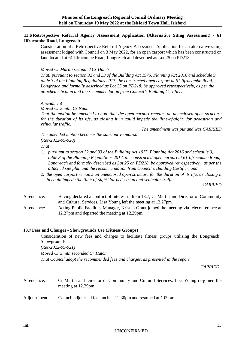#### <span id="page-13-0"></span>**13.6 Retrospective Referral Agency Assessment Application (Alternative Siting Assessment) - 61 Ilfracombe Road, Longreach**

Consideration of a Retrospective Referral Agency Assessment Application for an alternative siting assessment lodged with Council on 3 May 2022, for an open carport which has been constructed on land located at 61 Ilfracombe Road, Longreach and described as Lot 25 on PD218.

#### *Moved Cr Martin seconded Cr Hatch*

*That: pursuant to section 32 and 33 of the Building Act 1975, Planning Act 2016 and schedule 9, table 3 of the Planning Regulations 2017, the constructed open carport at 61 Ilfracombe Road, Longreach and formally described as Lot 25 on PD218, be approved retrospectively, as per the attached site plan and the recommendation from Council's Building Certifier.*

#### *Amendment*

*Moved Cr Smith, Cr Nunn* 

*That the motion be amended to note that the open carport remains an unenclosed open structure for the duration of its life, as closing it in could impede the 'line-of-sight' for pedestrian and vehicular traffic.*

*The amendment was put and was CARRIED*

*The amended motion becomes the substantive motion (Res-2022-05-020)* 

*That* 

- *1. pursuant to section 32 and 33 of the Building Act 1975, Planning Act 2016 and schedule 9, table 3 of the Planning Regulations 2017, the constructed open carport at 61 Ilfracombe Road, Longreach and formally described as Lot 25 on PD218, be approved retrospectively, as per the attached site plan and the recommendation from Council's Building Certifier, and*
- *2. the open carport remains an unenclosed open structure for the duration of its life, as closing it in could impede the 'line-of-sight' for pedestrian and vehicular traffic.*

*CARRIED*

- Attendance: Having declared a conflict of interest in Item 13.7, Cr Martin and Director of Community and Cultural Services, Lisa Young left the meeting at 12.27pm.
- Attendance: Acting Public Facilities Manager, Kristen Grant joined the meeting via teleconference at 12.27pm and departed the meeting at 12.29pm.

#### <span id="page-13-1"></span>**13.7 Fees and Charges - Showgrounds Use (Fitness Groups)**

Consideration of new fees and charges to facilitate fitness groups utilising the Longreach Showgrounds.

*(Res-2022-05-021)* 

*Moved Cr Smith seconded Cr Hatch* 

*That Council adopt the recommended fees and charges, as presented in the report.*

- Attendance: Cr Martin and Director of Community and Cultural Services, Lisa Young re-joined the meeting at 12.29pm
- Adjournment: Council adjourned for lunch at 12.30pm and resumed at 1.09pm.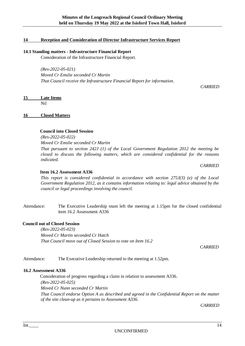#### <span id="page-14-0"></span>**14 Reception and Consideration of Director Infrastructure Services Report**

#### <span id="page-14-1"></span>**14.1 Standing matters - Infrastructure Financial Report**

Consideration of the Infrastructure Financial Report.

*(Res-2022-05-021) Moved Cr Emslie seconded Cr Martin That Council receive the Infrastructure Financial Report for information.*

*CARRIED*

# <span id="page-14-2"></span>**15 Late Items**

Nil

#### <span id="page-14-3"></span>**16 Closed Matters**

#### **Council into Closed Session**

*(Res-2022-05-022)* 

*Moved Cr Emslie seconded Cr Martin*

*That pursuant to section 242J (1) of the Local Government Regulation 2012 the meeting be closed to discuss the following matters, which are considered confidential for the reasons indicated.*

*CARRIED*

#### **Item 16.2 Assessment A336**

*This report is considered confidential in accordance with section 275J(3) (e) of the Local Government Regulation 2012, as it contains information relating to: legal advice obtained by the council or legal proceedings involving the council.*

Attendance: The Executive Leadership team left the meeting at 1.15pm for the closed confidential item 16.2 Assessment A336

#### **Council out of Closed Session**

*(Res-2022-05-023) Moved Cr Martin seconded Cr Hatch That Council move out of Closed Session to vote on Item 16.2*

*CARRIED*

Attendance: The Executive Leadership returned to the meeting at 1.52pm.

#### <span id="page-14-4"></span>**16.2 Assessment A336**

Consideration of progress regarding a claim in relation to assessment A336. *(Res-2022-05-025) Moved Cr Nunn seconded Cr Martin That Council endorse Option A as described and agreed in the Confidential Report on the matter of the site clean-up as it pertains to Assessment A336*.